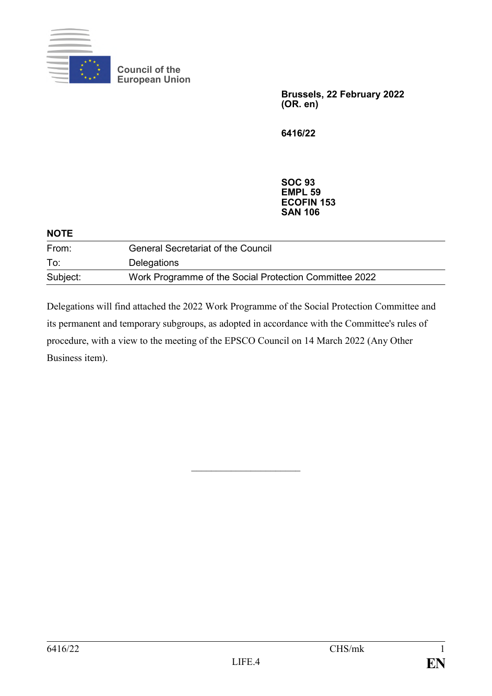

**Council of the European Union**

> **Brussels, 22 February 2022 (OR. en)**

**6416/22**

**SOC 93 EMPL 59 ECOFIN 153 SAN 106**

| <b>NOTE</b> |                                                        |  |
|-------------|--------------------------------------------------------|--|
| From:       | <b>General Secretariat of the Council</b>              |  |
| To:         | Delegations                                            |  |
| Subject:    | Work Programme of the Social Protection Committee 2022 |  |

Delegations will find attached the 2022 Work Programme of the Social Protection Committee and its permanent and temporary subgroups, as adopted in accordance with the Committee's rules of procedure, with a view to the meeting of the EPSCO Council on 14 March 2022 (Any Other Business item).

 $\overline{\phantom{a}}$  , where  $\overline{\phantom{a}}$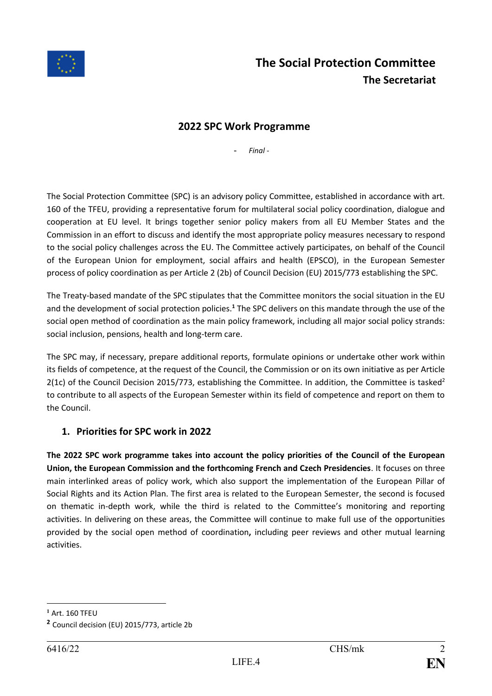

#### **2022 SPC Work Programme**

- *Final -*

The Social Protection Committee (SPC) is an advisory policy Committee, established in accordance with art. 160 of the TFEU, providing a representative forum for multilateral social policy coordination, dialogue and cooperation at EU level. It brings together senior policy makers from all EU Member States and the Commission in an effort to discuss and identify the most appropriate policy measures necessary to respond to the social policy challenges across the EU. The Committee actively participates, on behalf of the Council of the European Union for employment, social affairs and health (EPSCO), in the European Semester process of policy coordination as per Article 2 (2b) of Council Decision (EU) 2015/773 establishing the SPC.

The Treaty-based mandate of the SPC stipulates that the Committee monitors the social situation in the EU and the development of social protection policies.**<sup>1</sup>** The SPC delivers on this mandate through the use of the social open method of coordination as the main policy framework, including all major social policy strands: social inclusion, pensions, health and long-term care.

The SPC may, if necessary, prepare additional reports, formulate opinions or undertake other work within its fields of competence, at the request of the Council, the Commission or on its own initiative as per Article 2(1c) of the Council Decision 2015/773, establishing the Committee. In addition, the Committee is tasked<sup>2</sup> to contribute to all aspects of the European Semester within its field of competence and report on them to the Council.

#### **1. Priorities for SPC work in 2022**

**The 2022 SPC work programme takes into account the policy priorities of the Council of the European Union, the European Commission and the forthcoming French and Czech Presidencies**. It focuses on three main interlinked areas of policy work, which also support the implementation of the European Pillar of Social Rights and its Action Plan. The first area is related to the European Semester, the second is focused on thematic in-depth work, while the third is related to the Committee's monitoring and reporting activities. In delivering on these areas, the Committee will continue to make full use of the opportunities provided by the social open method of coordination**,** including peer reviews and other mutual learning activities.

<u>.</u>

**<sup>1</sup>** Art. 160 TFEU

**<sup>2</sup>** Council decision (EU) 2015/773, article 2b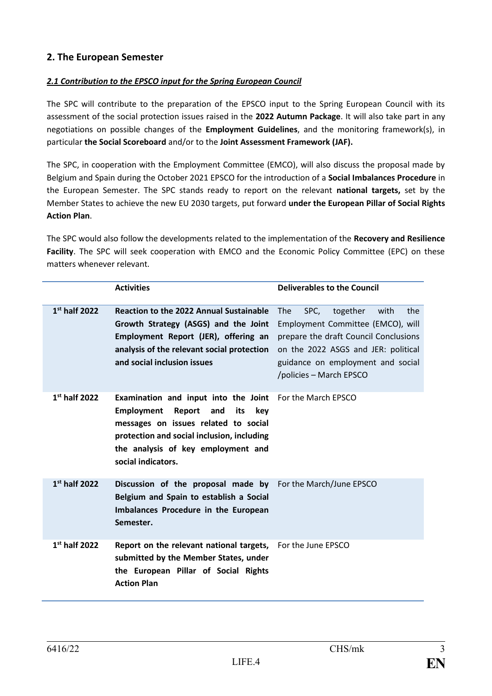#### **2. The European Semester**

#### *2.1 Contribution to the EPSCO input for the Spring European Council*

The SPC will contribute to the preparation of the EPSCO input to the Spring European Council with its assessment of the social protection issues raised in the **2022 Autumn Package**. It will also take part in any negotiations on possible changes of the **Employment Guidelines**, and the monitoring framework(s), in particular **the Social Scoreboard** and/or to the **Joint Assessment Framework (JAF).**

The SPC, in cooperation with the Employment Committee (EMCO), will also discuss the proposal made by Belgium and Spain during the October 2021 EPSCO for the introduction of a **Social Imbalances Procedure** in the European Semester. The SPC stands ready to report on the relevant **national targets,** set by the Member States to achieve the new EU 2030 targets, put forward **under the European Pillar of Social Rights Action Plan**.

The SPC would also follow the developments related to the implementation of the **Recovery and Resilience Facility**. The SPC will seek cooperation with EMCO and the Economic Policy Committee (EPC) on these matters whenever relevant.

|                 | <b>Activities</b>                                                                                                                                                                                                                          | <b>Deliverables to the Council</b>                                                                                                                                                                                                 |
|-----------------|--------------------------------------------------------------------------------------------------------------------------------------------------------------------------------------------------------------------------------------------|------------------------------------------------------------------------------------------------------------------------------------------------------------------------------------------------------------------------------------|
| $1st$ half 2022 | <b>Reaction to the 2022 Annual Sustainable</b><br>Growth Strategy (ASGS) and the Joint<br>Employment Report (JER), offering an<br>analysis of the relevant social protection<br>and social inclusion issues                                | SPC,<br>the<br><b>The</b><br>together<br>with<br>Employment Committee (EMCO), will<br>prepare the draft Council Conclusions<br>on the 2022 ASGS and JER: political<br>guidance on employment and social<br>/policies – March EPSCO |
| $1st$ half 2022 | Examination and input into the Joint<br><b>Employment</b><br>Report<br>and<br>its<br>key<br>messages on issues related to social<br>protection and social inclusion, including<br>the analysis of key employment and<br>social indicators. | For the March EPSCO                                                                                                                                                                                                                |
| $1st$ half 2022 | Discussion of the proposal made by For the March/June EPSCO<br>Belgium and Spain to establish a Social<br>Imbalances Procedure in the European<br>Semester.                                                                                |                                                                                                                                                                                                                                    |
| $1st$ half 2022 | Report on the relevant national targets,<br>submitted by the Member States, under<br>the European Pillar of Social Rights<br><b>Action Plan</b>                                                                                            | For the June EPSCO                                                                                                                                                                                                                 |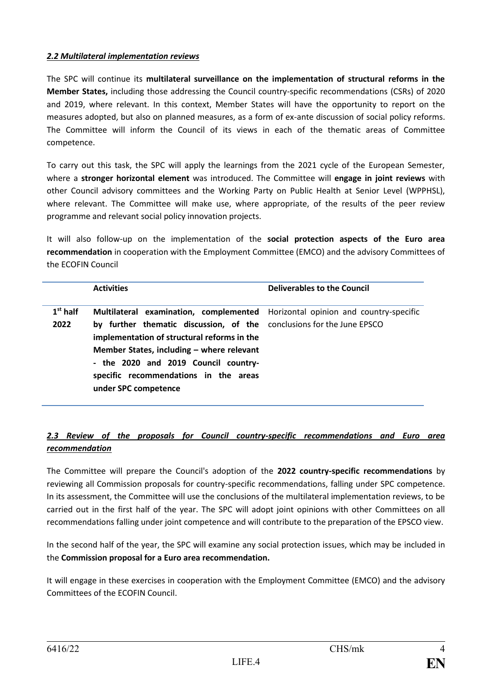#### *2.2 Multilateral implementation reviews*

The SPC will continue its **multilateral surveillance on the implementation of structural reforms in the Member States,** including those addressing the Council country-specific recommendations (CSRs) of 2020 and 2019, where relevant. In this context, Member States will have the opportunity to report on the measures adopted, but also on planned measures, as a form of ex-ante discussion of social policy reforms. The Committee will inform the Council of its views in each of the thematic areas of Committee competence.

To carry out this task, the SPC will apply the learnings from the 2021 cycle of the European Semester, where a **stronger horizontal element** was introduced. The Committee will **engage in joint reviews** with other Council advisory committees and the Working Party on Public Health at Senior Level (WPPHSL), where relevant. The Committee will make use, where appropriate, of the results of the peer review programme and relevant social policy innovation projects.

It will also follow-up on the implementation of the **social protection aspects of the Euro area recommendation** in cooperation with the Employment Committee (EMCO) and the advisory Committees of the ECOFIN Council

|            | <b>Activities</b>                                                                                                                                                                                                                                                            | Deliverables to the Council |
|------------|------------------------------------------------------------------------------------------------------------------------------------------------------------------------------------------------------------------------------------------------------------------------------|-----------------------------|
| $1st$ half | <b>Multilateral examination, complemented</b> Horizontal opinion and country-specific                                                                                                                                                                                        |                             |
| 2022       | by further thematic discussion, of the conclusions for the June EPSCO<br>implementation of structural reforms in the<br>Member States, including $-$ where relevant<br>- the 2020 and 2019 Council country-<br>specific recommendations in the areas<br>under SPC competence |                             |

#### *2.3 Review of the proposals for Council country-specific recommendations and Euro area recommendation*

The Committee will prepare the Council's adoption of the **2022 country-specific recommendations** by reviewing all Commission proposals for country-specific recommendations, falling under SPC competence. In its assessment, the Committee will use the conclusions of the multilateral implementation reviews, to be carried out in the first half of the year. The SPC will adopt joint opinions with other Committees on all recommendations falling under joint competence and will contribute to the preparation of the EPSCO view.

In the second half of the year, the SPC will examine any social protection issues, which may be included in the **Commission proposal for a Euro area recommendation.**

It will engage in these exercises in cooperation with the Employment Committee (EMCO) and the advisory Committees of the ECOFIN Council.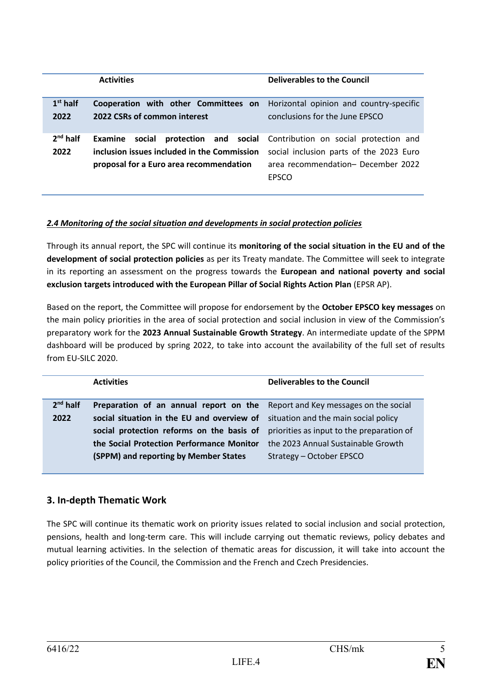|            | <b>Activities</b>                                                                   | <b>Deliverables to the Council</b>                          |
|------------|-------------------------------------------------------------------------------------|-------------------------------------------------------------|
|            |                                                                                     |                                                             |
| $1st$ half | <b>Cooperation with other Committees on</b> Horizontal opinion and country-specific |                                                             |
| 2022       | 2022 CSRs of common interest                                                        | conclusions for the June EPSCO                              |
|            |                                                                                     |                                                             |
| $2nd$ half | social<br>Examine                                                                   | protection and social Contribution on social protection and |
| 2022       | inclusion issues included in the Commission                                         | social inclusion parts of the 2023 Euro                     |
|            | proposal for a Euro area recommendation                                             | area recommendation- December 2022                          |
|            |                                                                                     | <b>FPSCO</b>                                                |
|            |                                                                                     |                                                             |

#### *2.4 Monitoring of the social situation and developments in social protection policies*

Through its annual report, the SPC will continue its **monitoring of the social situation in the EU and of the development of social protection policies** as per its Treaty mandate. The Committee will seek to integrate in its reporting an assessment on the progress towards the **European and national poverty and social exclusion targets introduced with the European Pillar of Social Rights Action Plan** (EPSR AP).

Based on the report, the Committee will propose for endorsement by the **October EPSCO key messages** on the main policy priorities in the area of social protection and social inclusion in view of the Commission's preparatory work for the **2023 Annual Sustainable Growth Strategy**. An intermediate update of the SPPM dashboard will be produced by spring 2022, to take into account the availability of the full set of results from EU-SILC 2020.

|            | <b>Activities</b>                                                                                                                                                   | Deliverables to the Council |
|------------|---------------------------------------------------------------------------------------------------------------------------------------------------------------------|-----------------------------|
| $2nd$ half | Preparation of an annual report on the Report and Key messages on the social                                                                                        |                             |
| 2022       | social situation in the EU and overview of situation and the main social policy                                                                                     |                             |
|            | social protection reforms on the basis of priorities as input to the preparation of<br>the Social Protection Performance Monitor the 2023 Annual Sustainable Growth |                             |
|            | (SPPM) and reporting by Member States                                                                                                                               | Strategy - October EPSCO    |
|            |                                                                                                                                                                     |                             |

#### **3. In-depth Thematic Work**

The SPC will continue its thematic work on priority issues related to social inclusion and social protection, pensions, health and long-term care. This will include carrying out thematic reviews, policy debates and mutual learning activities. In the selection of thematic areas for discussion, it will take into account the policy priorities of the Council, the Commission and the French and Czech Presidencies.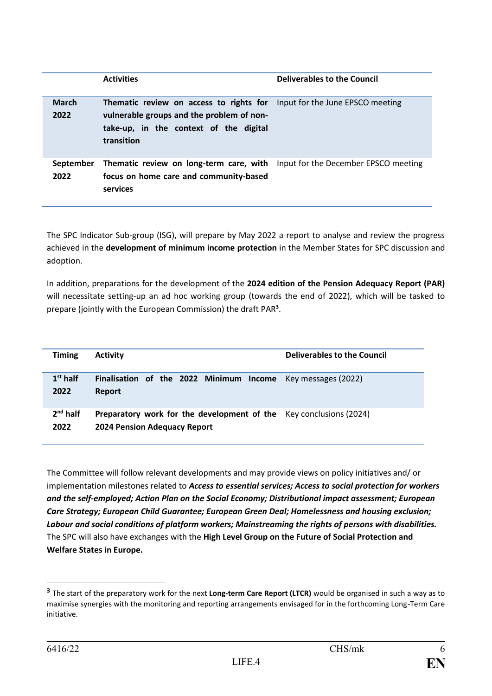|                      | <b>Activities</b>                                                                                                                                                                    | <b>Deliverables to the Council</b> |
|----------------------|--------------------------------------------------------------------------------------------------------------------------------------------------------------------------------------|------------------------------------|
| <b>March</b><br>2022 | <b>Thematic review on access to rights for</b> Input for the June EPSCO meeting<br>vulnerable groups and the problem of non-<br>take-up, in the context of the digital<br>transition |                                    |
| September<br>2022    | <b>Thematic review on long-term care, with</b> Input for the December EPSCO meeting<br>focus on home care and community-based<br>services                                            |                                    |

The SPC Indicator Sub-group (ISG), will prepare by May 2022 a report to analyse and review the progress achieved in the **development of minimum income protection** in the Member States for SPC discussion and adoption.

In addition, preparations for the development of the **2024 edition of the Pension Adequacy Report (PAR)** will necessitate setting-up an ad hoc working group (towards the end of 2022), which will be tasked to prepare (jointly with the European Commission) the draft PAR**<sup>3</sup>** .

| <b>Timing</b>      | <b>Activity</b>                                                                                           | Deliverables to the Council |
|--------------------|-----------------------------------------------------------------------------------------------------------|-----------------------------|
| $1st$ half<br>2022 | <b>Finalisation of the 2022 Minimum Income</b> Key messages (2022)<br><b>Report</b>                       |                             |
| $2nd$ half<br>2022 | Preparatory work for the development of the Key conclusions (2024)<br><b>2024 Pension Adequacy Report</b> |                             |

The Committee will follow relevant developments and may provide views on policy initiatives and/ or implementation milestones related to *Access to essential services; Access to social protection for workers and the self-employed; Action Plan on the Social Economy; Distributional impact assessment; European Care Strategy; European Child Guarantee; European Green Deal; Homelessness and housing exclusion; Labour and social conditions of platform workers; Mainstreaming the rights of persons with disabilities.*  The SPC will also have exchanges with the **High Level Group on the Future of Social Protection and Welfare States in Europe.**

1

**<sup>3</sup>** The start of the preparatory work for the next **Long-term Care Report (LTCR)** would be organised in such a way as to maximise synergies with the monitoring and reporting arrangements envisaged for in the forthcoming Long-Term Care initiative.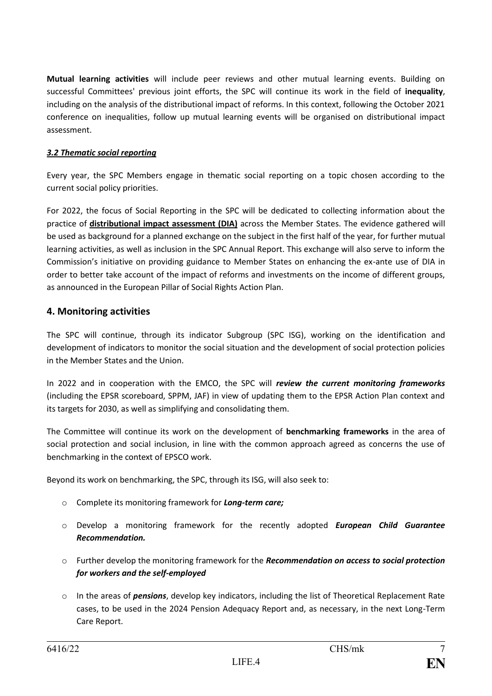**Mutual learning activities** will include peer reviews and other mutual learning events. Building on successful Committees' previous joint efforts, the SPC will continue its work in the field of **inequality**, including on the analysis of the distributional impact of reforms. In this context, following the October 2021 conference on inequalities, follow up mutual learning events will be organised on distributional impact assessment.

#### *3.2 Thematic social reporting*

Every year, the SPC Members engage in thematic social reporting on a topic chosen according to the current social policy priorities.

For 2022, the focus of Social Reporting in the SPC will be dedicated to collecting information about the practice of **distributional impact assessment (DIA)** across the Member States. The evidence gathered will be used as background for a planned exchange on the subject in the first half of the year, for further mutual learning activities, as well as inclusion in the SPC Annual Report. This exchange will also serve to inform the Commission's initiative on providing guidance to Member States on enhancing the ex-ante use of DIA in order to better take account of the impact of reforms and investments on the income of different groups, as announced in the European Pillar of Social Rights Action Plan.

#### **4. Monitoring activities**

The SPC will continue, through its indicator Subgroup (SPC ISG), working on the identification and development of indicators to monitor the social situation and the development of social protection policies in the Member States and the Union.

In 2022 and in cooperation with the EMCO, the SPC will *review the current monitoring frameworks* (including the EPSR scoreboard, SPPM, JAF) in view of updating them to the EPSR Action Plan context and its targets for 2030, as well as simplifying and consolidating them.

The Committee will continue its work on the development of **benchmarking frameworks** in the area of social protection and social inclusion, in line with the common approach agreed as concerns the use of benchmarking in the context of EPSCO work.

Beyond its work on benchmarking, the SPC, through its ISG, will also seek to:

- o Complete its monitoring framework for *Long-term care;*
- o Develop a monitoring framework for the recently adopted *European Child Guarantee Recommendation.*
- o Further develop the monitoring framework for the *Recommendation on access to social protection for workers and the self-employed*
- o In the areas of *pensions*, develop key indicators, including the list of Theoretical Replacement Rate cases, to be used in the 2024 Pension Adequacy Report and, as necessary, in the next Long-Term Care Report.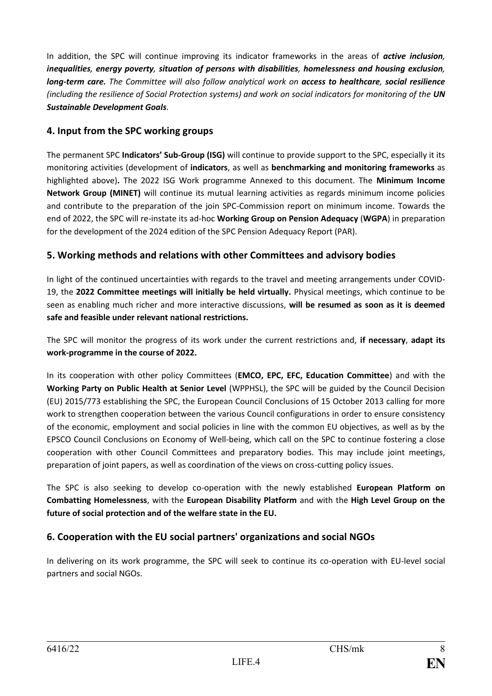In addition, the SPC will continue improving its indicator frameworks in the areas of *active inclusion, inequalities, energy poverty, situation of persons with disabilities, homelessness and housing exclusion, long-term care. The Committee will also follow analytical work on access to healthcare, social resilience (including the resilience of Social Protection systems) and work on social indicators for monitoring of the UN Sustainable Development Goals.* 

#### **4. Input from the SPC working groups**

The permanent SPC **Indicators' Sub-Group (ISG)** will continue to provide support to the SPC, especially it its monitoring activities (development of **indicators**, as well as **benchmarking and monitoring frameworks** as highlighted above)**.** The 2022 ISG Work programme Annexed to this document. The **Minimum Income Network Group (MINET)** will continue its mutual learning activities as regards minimum income policies and contribute to the preparation of the join SPC-Commission report on minimum income. Towards the end of 2022, the SPC will re-instate its ad-hoc **Working Group on Pension Adequacy** (**WGPA**) in preparation for the development of the 2024 edition of the SPC Pension Adequacy Report (PAR).

#### **5. Working methods and relations with other Committees and advisory bodies**

In light of the continued uncertainties with regards to the travel and meeting arrangements under COVID-19, the **2022 Committee meetings will initially be held virtually.** Physical meetings, which continue to be seen as enabling much richer and more interactive discussions, **will be resumed as soon as it is deemed safe and feasible under relevant national restrictions.**

The SPC will monitor the progress of its work under the current restrictions and, **if necessary**, **adapt its work-programme in the course of 2022.**

In its cooperation with other policy Committees (**EMCO, EPC, EFC, Education Committee**) and with the **Working Party on Public Health at Senior Level** (WPPHSL), the SPC will be guided by the Council Decision (EU) 2015/773 establishing the SPC, the European Council Conclusions of 15 October 2013 calling for more work to strengthen cooperation between the various Council configurations in order to ensure consistency of the economic, employment and social policies in line with the common EU objectives, as well as by the EPSCO Council Conclusions on Economy of Well-being, which call on the SPC to continue fostering a close cooperation with other Council Committees and preparatory bodies. This may include joint meetings, preparation of joint papers, as well as coordination of the views on cross-cutting policy issues.

The SPC is also seeking to develop co-operation with the newly established **European Platform on Combatting Homelessness**, with the **European Disability Platform** and with the **High Level Group on the future of social protection and of the welfare state in the EU.** 

#### **6. Cooperation with the EU social partners' organizations and social NGOs**

In delivering on its work programme, the SPC will seek to continue its co-operation with EU-level social partners and social NGOs.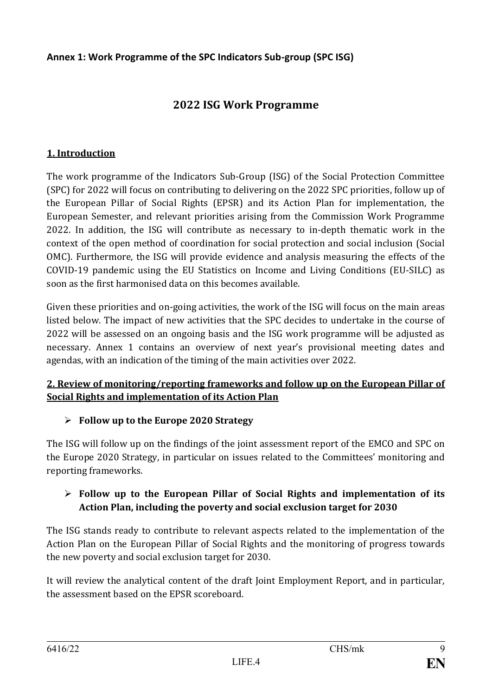#### **Annex 1: Work Programme of the SPC Indicators Sub-group (SPC ISG)**

# **2022 ISG Work Programme**

#### **1. Introduction**

The work programme of the Indicators Sub-Group (ISG) of the Social Protection Committee (SPC) for 2022 will focus on contributing to delivering on the 2022 SPC priorities, follow up of the European Pillar of Social Rights (EPSR) and its Action Plan for implementation, the European Semester, and relevant priorities arising from the Commission Work Programme 2022. In addition, the ISG will contribute as necessary to in-depth thematic work in the context of the open method of coordination for social protection and social inclusion (Social OMC). Furthermore, the ISG will provide evidence and analysis measuring the effects of the COVID-19 pandemic using the EU Statistics on Income and Living Conditions (EU-SILC) as soon as the first harmonised data on this becomes available.

Given these priorities and on-going activities, the work of the ISG will focus on the main areas listed below. The impact of new activities that the SPC decides to undertake in the course of 2022 will be assessed on an ongoing basis and the ISG work programme will be adjusted as necessary. Annex 1 contains an overview of next year's provisional meeting dates and agendas, with an indication of the timing of the main activities over 2022.

#### **2. Review of monitoring/reporting frameworks and follow up on the European Pillar of Social Rights and implementation of its Action Plan**

#### ⮚ **Follow up to the Europe 2020 Strategy**

The ISG will follow up on the findings of the joint assessment report of the EMCO and SPC on the Europe 2020 Strategy, in particular on issues related to the Committees' monitoring and reporting frameworks.

### ⮚ **Follow up to the European Pillar of Social Rights and implementation of its Action Plan, including the poverty and social exclusion target for 2030**

The ISG stands ready to contribute to relevant aspects related to the implementation of the Action Plan on the European Pillar of Social Rights and the monitoring of progress towards the new poverty and social exclusion target for 2030.

It will review the analytical content of the draft Joint Employment Report, and in particular, the assessment based on the EPSR scoreboard.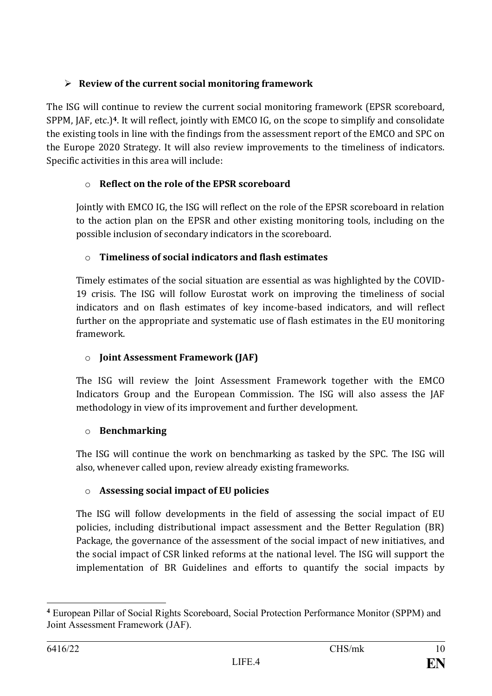# ⮚ **Review of the current social monitoring framework**

The ISG will continue to review the current social monitoring framework (EPSR scoreboard, SPPM, JAF, etc.)**<sup>4</sup>**. It will reflect, jointly with EMCO IG, on the scope to simplify and consolidate the existing tools in line with the findings from the assessment report of the EMCO and SPC on the Europe 2020 Strategy. It will also review improvements to the timeliness of indicators. Specific activities in this area will include:

# o **Reflect on the role of the EPSR scoreboard**

Jointly with EMCO IG, the ISG will reflect on the role of the EPSR scoreboard in relation to the action plan on the EPSR and other existing monitoring tools, including on the possible inclusion of secondary indicators in the scoreboard.

## o **Timeliness of social indicators and flash estimates**

Timely estimates of the social situation are essential as was highlighted by the COVID-19 crisis. The ISG will follow Eurostat work on improving the timeliness of social indicators and on flash estimates of key income-based indicators, and will reflect further on the appropriate and systematic use of flash estimates in the EU monitoring framework.

# o **Joint Assessment Framework (JAF)**

The ISG will review the Joint Assessment Framework together with the EMCO Indicators Group and the European Commission. The ISG will also assess the JAF methodology in view of its improvement and further development.

## o **Benchmarking**

The ISG will continue the work on benchmarking as tasked by the SPC. The ISG will also, whenever called upon, review already existing frameworks.

## o **Assessing social impact of EU policies**

The ISG will follow developments in the field of assessing the social impact of EU policies, including distributional impact assessment and the Better Regulation (BR) Package, the governance of the assessment of the social impact of new initiatives, and the social impact of CSR linked reforms at the national level. The ISG will support the implementation of BR Guidelines and efforts to quantify the social impacts by

<sup>1</sup> **<sup>4</sup>** European Pillar of Social Rights Scoreboard, Social Protection Performance Monitor (SPPM) and Joint Assessment Framework (JAF).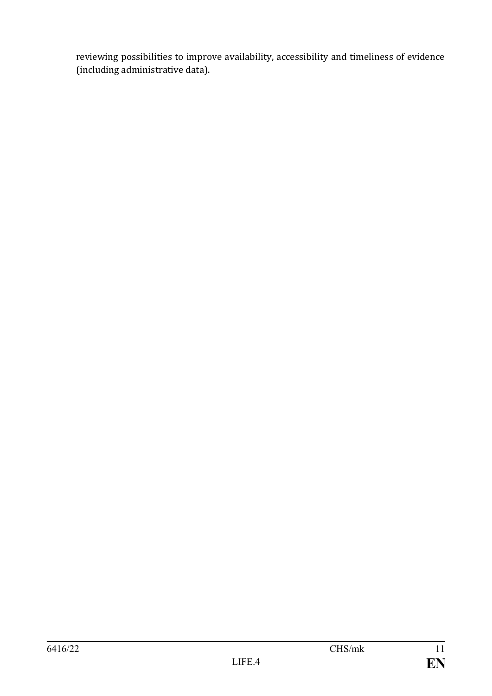reviewing possibilities to improve availability, accessibility and timeliness of evidence (including administrative data).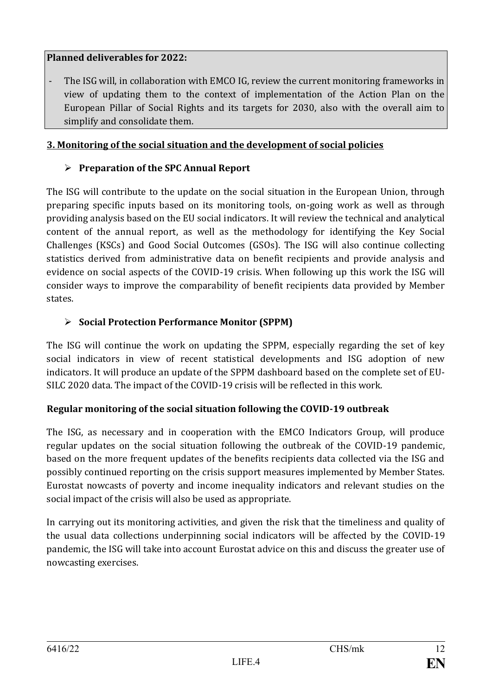#### **Planned deliverables for 2022:**

The ISG will, in collaboration with EMCO IG, review the current monitoring frameworks in view of updating them to the context of implementation of the Action Plan on the European Pillar of Social Rights and its targets for 2030, also with the overall aim to simplify and consolidate them.

#### **3. Monitoring of the social situation and the development of social policies**

### ⮚ **Preparation of the SPC Annual Report**

The ISG will contribute to the update on the social situation in the European Union, through preparing specific inputs based on its monitoring tools, on-going work as well as through providing analysis based on the EU social indicators. It will review the technical and analytical content of the annual report, as well as the methodology for identifying the Key Social Challenges (KSCs) and Good Social Outcomes (GSOs). The ISG will also continue collecting statistics derived from administrative data on benefit recipients and provide analysis and evidence on social aspects of the COVID-19 crisis. When following up this work the ISG will consider ways to improve the comparability of benefit recipients data provided by Member states.

#### ⮚ **Social Protection Performance Monitor (SPPM)**

The ISG will continue the work on updating the SPPM, especially regarding the set of key social indicators in view of recent statistical developments and ISG adoption of new indicators. It will produce an update of the SPPM dashboard based on the complete set of EU-SILC 2020 data. The impact of the COVID-19 crisis will be reflected in this work.

## **Regular monitoring of the social situation following the COVID-19 outbreak**

The ISG, as necessary and in cooperation with the EMCO Indicators Group, will produce regular updates on the social situation following the outbreak of the COVID-19 pandemic, based on the more frequent updates of the benefits recipients data collected via the ISG and possibly continued reporting on the crisis support measures implemented by Member States. Eurostat nowcasts of poverty and income inequality indicators and relevant studies on the social impact of the crisis will also be used as appropriate.

In carrying out its monitoring activities, and given the risk that the timeliness and quality of the usual data collections underpinning social indicators will be affected by the COVID-19 pandemic, the ISG will take into account Eurostat advice on this and discuss the greater use of nowcasting exercises.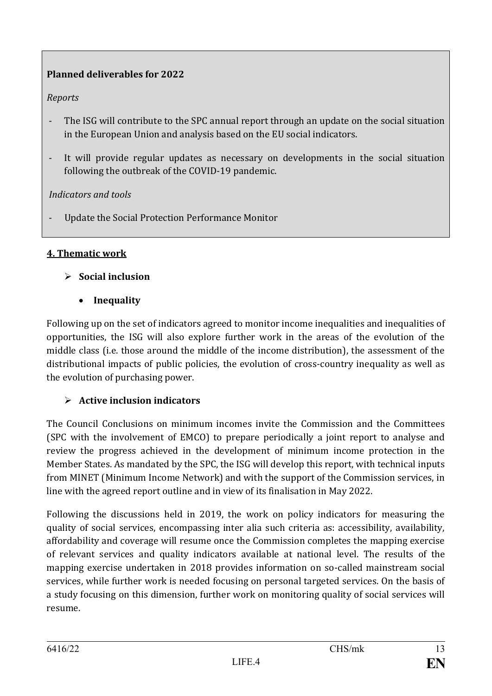# **Planned deliverables for 2022**

## *Reports*

- The ISG will contribute to the SPC annual report through an update on the social situation in the European Union and analysis based on the EU social indicators.
- It will provide regular updates as necessary on developments in the social situation following the outbreak of the COVID-19 pandemic.

## *Indicators and tools*

Update the Social Protection Performance Monitor

## **4. Thematic work**

## ⮚ **Social inclusion**

• **Inequality**

Following up on the set of indicators agreed to monitor income inequalities and inequalities of opportunities, the ISG will also explore further work in the areas of the evolution of the middle class (i.e. those around the middle of the income distribution), the assessment of the distributional impacts of public policies, the evolution of cross-country inequality as well as the evolution of purchasing power.

## ⮚ **Active inclusion indicators**

The Council Conclusions on minimum incomes invite the Commission and the Committees (SPC with the involvement of EMCO) to prepare periodically a joint report to analyse and review the progress achieved in the development of minimum income protection in the Member States. As mandated by the SPC, the ISG will develop this report, with technical inputs from MINET (Minimum Income Network) and with the support of the Commission services, in line with the agreed report outline and in view of its finalisation in May 2022.

Following the discussions held in 2019, the work on policy indicators for measuring the quality of social services, encompassing inter alia such criteria as: accessibility, availability, affordability and coverage will resume once the Commission completes the mapping exercise of relevant services and quality indicators available at national level. The results of the mapping exercise undertaken in 2018 provides information on so-called mainstream social services, while further work is needed focusing on personal targeted services. On the basis of a study focusing on this dimension, further work on monitoring quality of social services will resume.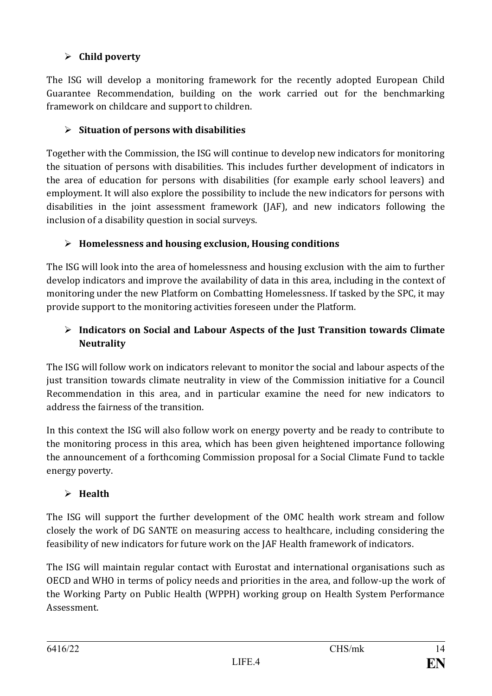# ⮚ **Child poverty**

The ISG will develop a monitoring framework for the recently adopted European Child Guarantee Recommendation, building on the work carried out for the benchmarking framework on childcare and support to children.

## ⮚ **Situation of persons with disabilities**

Together with the Commission, the ISG will continue to develop new indicators for monitoring the situation of persons with disabilities. This includes further development of indicators in the area of education for persons with disabilities (for example early school leavers) and employment. It will also explore the possibility to include the new indicators for persons with disabilities in the joint assessment framework (JAF), and new indicators following the inclusion of a disability question in social surveys.

## ⮚ **Homelessness and housing exclusion, Housing conditions**

The ISG will look into the area of homelessness and housing exclusion with the aim to further develop indicators and improve the availability of data in this area, including in the context of monitoring under the new Platform on Combatting Homelessness. If tasked by the SPC, it may provide support to the monitoring activities foreseen under the Platform.

## ⮚ **Indicators on Social and Labour Aspects of the Just Transition towards Climate Neutrality**

The ISG will follow work on indicators relevant to monitor the social and labour aspects of the just transition towards climate neutrality in view of the Commission initiative for a Council Recommendation in this area, and in particular examine the need for new indicators to address the fairness of the transition.

In this context the ISG will also follow work on energy poverty and be ready to contribute to the monitoring process in this area, which has been given heightened importance following the announcement of a forthcoming Commission proposal for a Social Climate Fund to tackle energy poverty.

# ⮚ **Health**

The ISG will support the further development of the OMC health work stream and follow closely the work of DG SANTE on measuring access to healthcare, including considering the feasibility of new indicators for future work on the JAF Health framework of indicators.

The ISG will maintain regular contact with Eurostat and international organisations such as OECD and WHO in terms of policy needs and priorities in the area, and follow-up the work of the Working Party on Public Health (WPPH) working group on Health System Performance Assessment.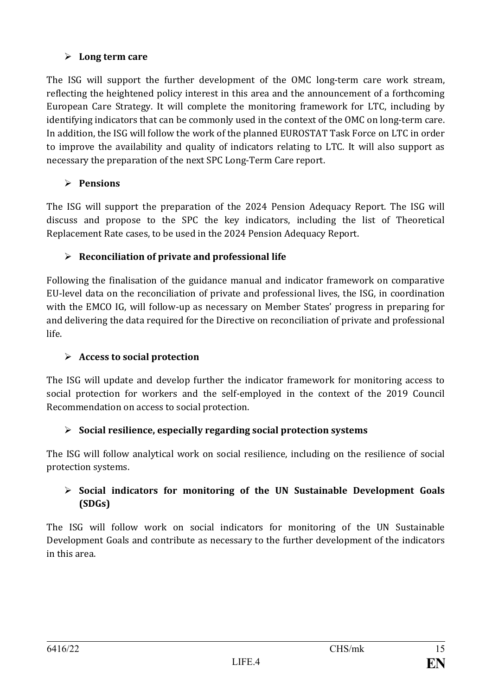### ⮚ **Long term care**

The ISG will support the further development of the OMC long-term care work stream, reflecting the heightened policy interest in this area and the announcement of a forthcoming European Care Strategy. It will complete the monitoring framework for LTC, including by identifying indicators that can be commonly used in the context of the OMC on long-term care. In addition, the ISG will follow the work of the planned EUROSTAT Task Force on LTC in order to improve the availability and quality of indicators relating to LTC. It will also support as necessary the preparation of the next SPC Long-Term Care report.

## ⮚ **Pensions**

The ISG will support the preparation of the 2024 Pension Adequacy Report. The ISG will discuss and propose to the SPC the key indicators, including the list of Theoretical Replacement Rate cases, to be used in the 2024 Pension Adequacy Report.

## ⮚ **Reconciliation of private and professional life**

Following the finalisation of the guidance manual and indicator framework on comparative EU-level data on the reconciliation of private and professional lives, the ISG, in coordination with the EMCO IG, will follow-up as necessary on Member States' progress in preparing for and delivering the data required for the Directive on reconciliation of private and professional life.

## ⮚ **Access to social protection**

The ISG will update and develop further the indicator framework for monitoring access to social protection for workers and the self-employed in the context of the 2019 Council Recommendation on access to social protection.

## ⮚ **Social resilience, especially regarding social protection systems**

The ISG will follow analytical work on social resilience, including on the resilience of social protection systems.

### ⮚ **Social indicators for monitoring of the UN Sustainable Development Goals (SDGs)**

The ISG will follow work on social indicators for monitoring of the UN Sustainable Development Goals and contribute as necessary to the further development of the indicators in this area.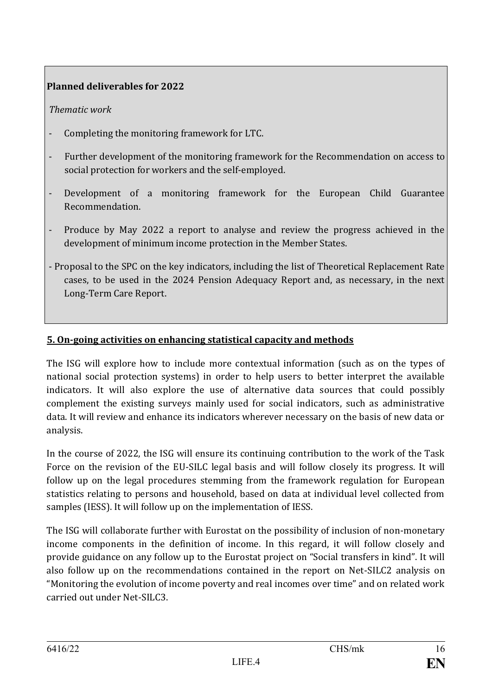### **Planned deliverables for 2022**

#### *Thematic work*

- Completing the monitoring framework for LTC.
- Further development of the monitoring framework for the Recommendation on access to social protection for workers and the self-employed.
- Development of a monitoring framework for the European Child Guarantee Recommendation.
- Produce by May 2022 a report to analyse and review the progress achieved in the development of minimum income protection in the Member States.
- Proposal to the SPC on the key indicators, including the list of Theoretical Replacement Rate cases, to be used in the 2024 Pension Adequacy Report and, as necessary, in the next Long-Term Care Report.

#### **5. On-going activities on enhancing statistical capacity and methods**

The ISG will explore how to include more contextual information (such as on the types of national social protection systems) in order to help users to better interpret the available indicators. It will also explore the use of alternative data sources that could possibly complement the existing surveys mainly used for social indicators, such as administrative data. It will review and enhance its indicators wherever necessary on the basis of new data or analysis.

In the course of 2022, the ISG will ensure its continuing contribution to the work of the Task Force on the revision of the EU-SILC legal basis and will follow closely its progress. It will follow up on the legal procedures stemming from the framework regulation for European statistics relating to persons and household, based on data at individual level collected from samples (IESS). It will follow up on the implementation of IESS.

The ISG will collaborate further with Eurostat on the possibility of inclusion of non-monetary income components in the definition of income. In this regard, it will follow closely and provide guidance on any follow up to the Eurostat project on "Social transfers in kind". It will also follow up on the recommendations contained in the report on Net-SILC2 analysis on "Monitoring the evolution of income poverty and real incomes over time" and on related work carried out under Net-SILC3.